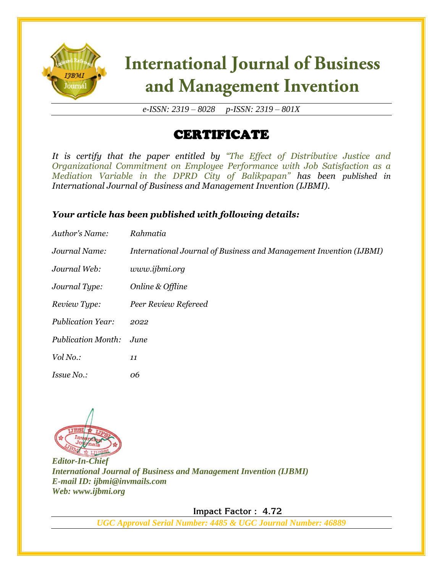

# **International Journal of Business** and Management Invention

*e-ISSN: 2319 – 8028 p-ISSN: 2319 – 801X*

### CERTIFICATE

*It is certify that the paper entitled by "The Effect of Distributive Justice and Organizational Commitment on Employee Performance with Job Satisfaction as a Mediation Variable in the DPRD City of Balikpapan" has been published in International Journal of Business and Management Invention (IJBMI).*

#### *Your article has been published with following details:*

| Author's Name:            | Rahmatia                                                           |
|---------------------------|--------------------------------------------------------------------|
| Journal Name:             | International Journal of Business and Management Invention (IJBMI) |
| Journal Web:              | www.ijbmi.org                                                      |
| Journal Type:             | Online & Offline                                                   |
| Review Type:              | Peer Review Refereed                                               |
| <b>Publication Year:</b>  | 2022                                                               |
| <b>Publication Month:</b> | June.                                                              |
| Vol No.:                  | 11                                                                 |
| <i>Issue No.:</i>         | 06                                                                 |



*Editor-In-Chief International Journal of Business and Management Invention (IJBMI) E-mail ID: ijbmi@invmails.com Web: www.ijbmi.org*

 **Impact Factor : 4.72** 

*UGC Approval Serial Number: 4485 & UGC Journal Number: 46889*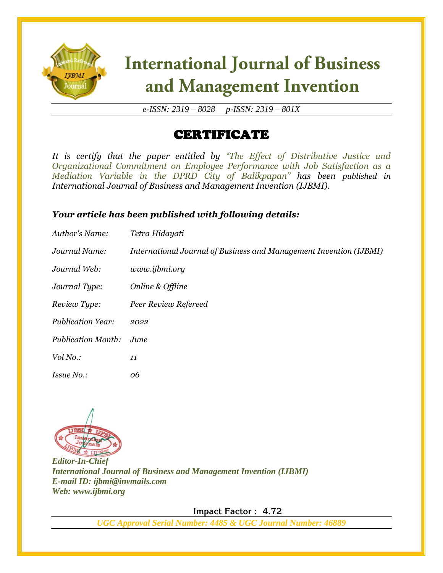

# **International Journal of Business** and Management Invention

*e-ISSN: 2319 – 8028 p-ISSN: 2319 – 801X*

### CERTIFICATE

*It is certify that the paper entitled by "The Effect of Distributive Justice and Organizational Commitment on Employee Performance with Job Satisfaction as a Mediation Variable in the DPRD City of Balikpapan" has been published in International Journal of Business and Management Invention (IJBMI).*

#### *Your article has been published with following details:*

| Author's Name:            | Tetra Hidayati                                                     |
|---------------------------|--------------------------------------------------------------------|
| Journal Name:             | International Journal of Business and Management Invention (IJBMI) |
| Journal Web:              | www.ijbmi.org                                                      |
| Journal Type:             | Online & Offline                                                   |
| Review Type:              | Peer Review Refereed                                               |
| <b>Publication Year:</b>  | 2022                                                               |
| <b>Publication Month:</b> | June.                                                              |
| Vol No.:                  | 11                                                                 |
| <i>Issue No.:</i>         | 06                                                                 |



*Editor-In-Chief International Journal of Business and Management Invention (IJBMI) E-mail ID: ijbmi@invmails.com Web: www.ijbmi.org*

 **Impact Factor : 4.72** 

*UGC Approval Serial Number: 4485 & UGC Journal Number: 46889*